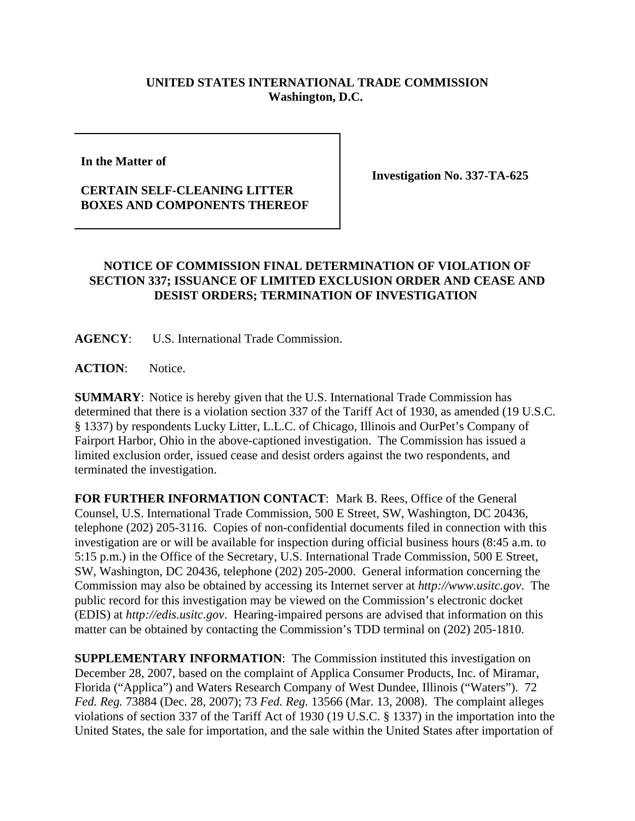## **UNITED STATES INTERNATIONAL TRADE COMMISSION Washington, D.C.**

**In the Matter of** 

## **CERTAIN SELF-CLEANING LITTER BOXES AND COMPONENTS THEREOF**

**Investigation No. 337-TA-625**

## **NOTICE OF COMMISSION FINAL DETERMINATION OF VIOLATION OF SECTION 337; ISSUANCE OF LIMITED EXCLUSION ORDER AND CEASE AND DESIST ORDERS; TERMINATION OF INVESTIGATION**

**AGENCY**: U.S. International Trade Commission.

ACTION: Notice.

**SUMMARY**: Notice is hereby given that the U.S. International Trade Commission has determined that there is a violation section 337 of the Tariff Act of 1930, as amended (19 U.S.C. § 1337) by respondents Lucky Litter, L.L.C. of Chicago, Illinois and OurPet's Company of Fairport Harbor, Ohio in the above-captioned investigation. The Commission has issued a limited exclusion order, issued cease and desist orders against the two respondents, and terminated the investigation.

**FOR FURTHER INFORMATION CONTACT**: Mark B. Rees, Office of the General Counsel, U.S. International Trade Commission, 500 E Street, SW, Washington, DC 20436, telephone (202) 205-3116. Copies of non-confidential documents filed in connection with this investigation are or will be available for inspection during official business hours (8:45 a.m. to 5:15 p.m.) in the Office of the Secretary, U.S. International Trade Commission, 500 E Street, SW, Washington, DC 20436, telephone (202) 205-2000. General information concerning the Commission may also be obtained by accessing its Internet server at *http://www.usitc.gov*. The public record for this investigation may be viewed on the Commission's electronic docket (EDIS) at *http://edis.usitc.gov*. Hearing-impaired persons are advised that information on this matter can be obtained by contacting the Commission's TDD terminal on (202) 205-1810.

**SUPPLEMENTARY INFORMATION:** The Commission instituted this investigation on December 28, 2007, based on the complaint of Applica Consumer Products, Inc. of Miramar, Florida ("Applica") and Waters Research Company of West Dundee, Illinois ("Waters"). 72 *Fed. Reg.* 73884 (Dec. 28, 2007); 73 *Fed. Reg.* 13566 (Mar. 13, 2008). The complaint alleges violations of section 337 of the Tariff Act of 1930 (19 U.S.C. § 1337) in the importation into the United States, the sale for importation, and the sale within the United States after importation of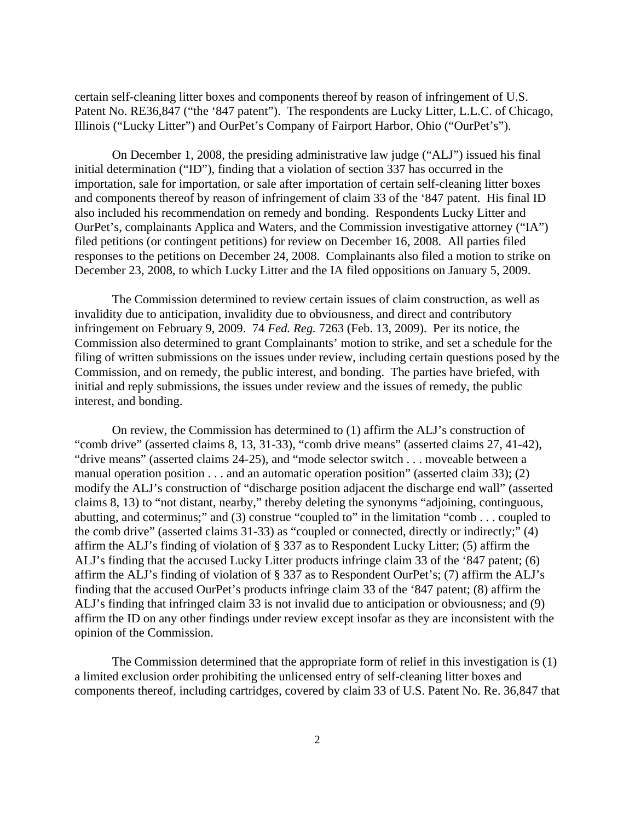certain self-cleaning litter boxes and components thereof by reason of infringement of U.S. Patent No. RE36,847 ("the '847 patent"). The respondents are Lucky Litter, L.L.C. of Chicago, Illinois ("Lucky Litter") and OurPet's Company of Fairport Harbor, Ohio ("OurPet's").

On December 1, 2008, the presiding administrative law judge ("ALJ") issued his final initial determination ("ID"), finding that a violation of section 337 has occurred in the importation, sale for importation, or sale after importation of certain self-cleaning litter boxes and components thereof by reason of infringement of claim 33 of the '847 patent. His final ID also included his recommendation on remedy and bonding. Respondents Lucky Litter and OurPet's, complainants Applica and Waters, and the Commission investigative attorney ("IA") filed petitions (or contingent petitions) for review on December 16, 2008. All parties filed responses to the petitions on December 24, 2008. Complainants also filed a motion to strike on December 23, 2008, to which Lucky Litter and the IA filed oppositions on January 5, 2009.

The Commission determined to review certain issues of claim construction, as well as invalidity due to anticipation, invalidity due to obviousness, and direct and contributory infringement on February 9, 2009. 74 *Fed. Reg.* 7263 (Feb. 13, 2009). Per its notice, the Commission also determined to grant Complainants' motion to strike, and set a schedule for the filing of written submissions on the issues under review, including certain questions posed by the Commission, and on remedy, the public interest, and bonding. The parties have briefed, with initial and reply submissions, the issues under review and the issues of remedy, the public interest, and bonding.

On review, the Commission has determined to (1) affirm the ALJ's construction of "comb drive" (asserted claims 8, 13, 31-33), "comb drive means" (asserted claims 27, 41-42), "drive means" (asserted claims 24-25), and "mode selector switch . . . moveable between a manual operation position . . . and an automatic operation position" (asserted claim 33); (2) modify the ALJ's construction of "discharge position adjacent the discharge end wall" (asserted claims 8, 13) to "not distant, nearby," thereby deleting the synonyms "adjoining, continguous, abutting, and coterminus;" and (3) construe "coupled to" in the limitation "comb . . . coupled to the comb drive" (asserted claims 31-33) as "coupled or connected, directly or indirectly;" (4) affirm the ALJ's finding of violation of § 337 as to Respondent Lucky Litter; (5) affirm the ALJ's finding that the accused Lucky Litter products infringe claim 33 of the '847 patent; (6) affirm the ALJ's finding of violation of § 337 as to Respondent OurPet's; (7) affirm the ALJ's finding that the accused OurPet's products infringe claim 33 of the '847 patent; (8) affirm the ALJ's finding that infringed claim 33 is not invalid due to anticipation or obviousness; and (9) affirm the ID on any other findings under review except insofar as they are inconsistent with the opinion of the Commission.

The Commission determined that the appropriate form of relief in this investigation is (1) a limited exclusion order prohibiting the unlicensed entry of self-cleaning litter boxes and components thereof, including cartridges, covered by claim 33 of U.S. Patent No. Re. 36,847 that